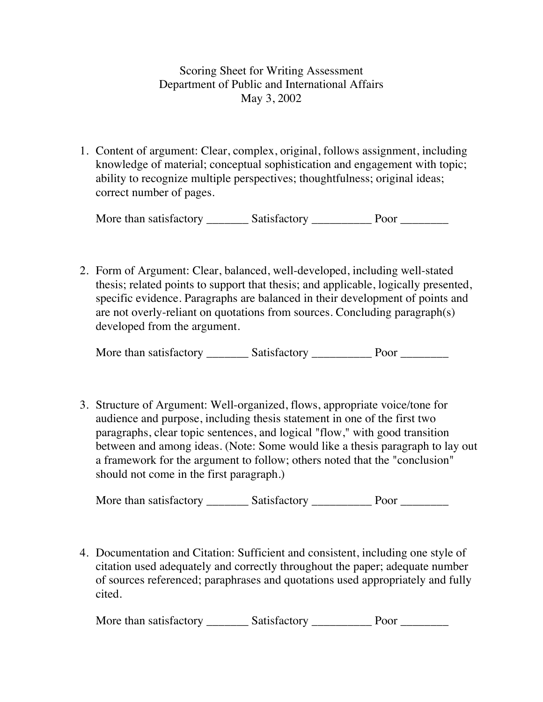## Scoring Sheet for Writing Assessment Department of Public and International Affairs May 3, 2002

1. Content of argument: Clear, complex, original, follows assignment, including knowledge of material; conceptual sophistication and engagement with topic; ability to recognize multiple perspectives; thoughtfulness; original ideas; correct number of pages.

More than satisfactory \_\_\_\_\_\_\_\_\_ Satisfactory \_\_\_\_\_\_\_\_\_\_\_\_ Poor \_\_\_\_\_\_\_\_\_\_\_

2. Form of Argument: Clear, balanced, well-developed, including well-stated thesis; related points to support that thesis; and applicable, logically presented, specific evidence. Paragraphs are balanced in their development of points and are not overly-reliant on quotations from sources. Concluding paragraph(s) developed from the argument.

More than satisfactory \_\_\_\_\_\_\_\_\_ Satisfactory \_\_\_\_\_\_\_\_\_\_\_ Poor \_\_\_\_\_\_\_\_\_\_

3. Structure of Argument: Well-organized, flows, appropriate voice/tone for audience and purpose, including thesis statement in one of the first two paragraphs, clear topic sentences, and logical "flow," with good transition between and among ideas. (Note: Some would like a thesis paragraph to lay out a framework for the argument to follow; others noted that the "conclusion" should not come in the first paragraph.)

More than satisfactory **Satisfactory Satisfactory** Poor

4. Documentation and Citation: Sufficient and consistent, including one style of citation used adequately and correctly throughout the paper; adequate number of sources referenced; paraphrases and quotations used appropriately and fully cited.

More than satisfactory \_\_\_\_\_\_\_\_\_ Satisfactory \_\_\_\_\_\_\_\_\_\_\_\_\_ Poor \_\_\_\_\_\_\_\_\_\_\_\_\_\_\_